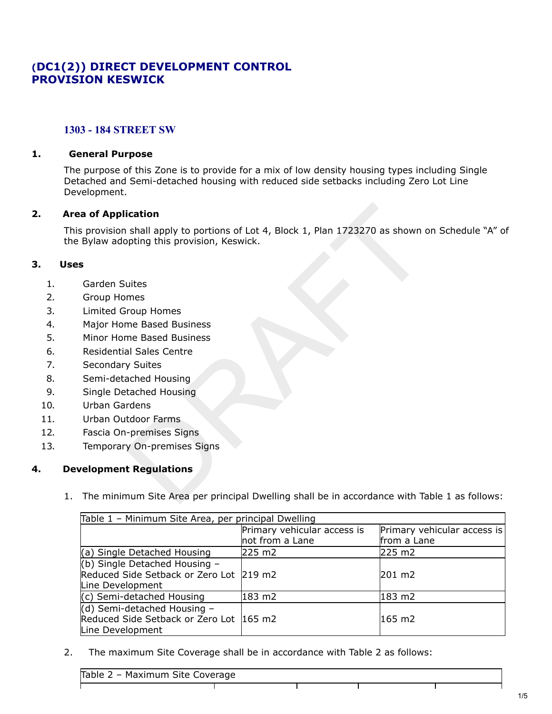# **(DC1(2)) DIRECT DEVELOPMENT CONTROL PROVISION KESWICK**

### **1303 - 184 STREET SW**

#### **1. General Purpose**

The purpose of this Zone is to provide for a mix of low density housing types including Single Detached and Semi-detached housing with reduced side setbacks including Zero Lot Line Development.

#### **2. Area of Application**

This provision shall apply to portions of Lot 4, Block 1, Plan 1723270 as shown on Schedule "A" of the Bylaw adopting this provision, Keswick. **ication**<br>
shall apply to portions of Lot 4, Block 1, Plan 1723270 as shown of<br>
ppting this provision, Keswick.<br>
<br>
uites<br>
mes<br>
me Based Business<br>
me Based Business<br>
al Sales Centre<br>
y Suites<br>
ached Housing<br>
rdens<br>
tdoor Fa

#### **3. Uses**

- 1. Garden Suites
- 2. Group Homes
- 3. Limited Group Homes
- 4. Major Home Based Business
- 5. Minor Home Based Business
- 6. Residential Sales Centre
- 7. Secondary Suites
- 8. Semi-detached Housing
- 9. Single Detached Housing
- 10. Urban Gardens
- 11. Urban Outdoor Farms
- 12. Fascia On-premises Signs
- 13. Temporary On-premises Signs

## **4. Development Regulations**

1. The minimum Site Area per principal Dwelling shall be in accordance with Table 1 as follows:

| Table 1 - Minimum Site Area, per principal Dwelling |                             |                             |
|-----------------------------------------------------|-----------------------------|-----------------------------|
|                                                     | Primary vehicular access is | Primary vehicular access is |
|                                                     | not from a Lane             | from a Lane                 |
| (a) Single Detached Housing                         | 225 m2                      | 225 m2                      |
| (b) Single Detached Housing $-$                     |                             |                             |
| Reduced Side Setback or Zero Lot 219 m2             |                             | 201 m2                      |
| Line Development                                    |                             |                             |
| $(c)$ Semi-detached Housing                         | 183 m2                      | 183 m2                      |
| $(d)$ Semi-detached Housing -                       |                             |                             |
| Reduced Side Setback or Zero Lot 165 m2             |                             | l165 m2                     |
| Line Development                                    |                             |                             |

2. The maximum Site Coverage shall be in accordance with Table 2 as follows:

 $\mathbf{I}$ 

Table 2 – Maximum Site Coverage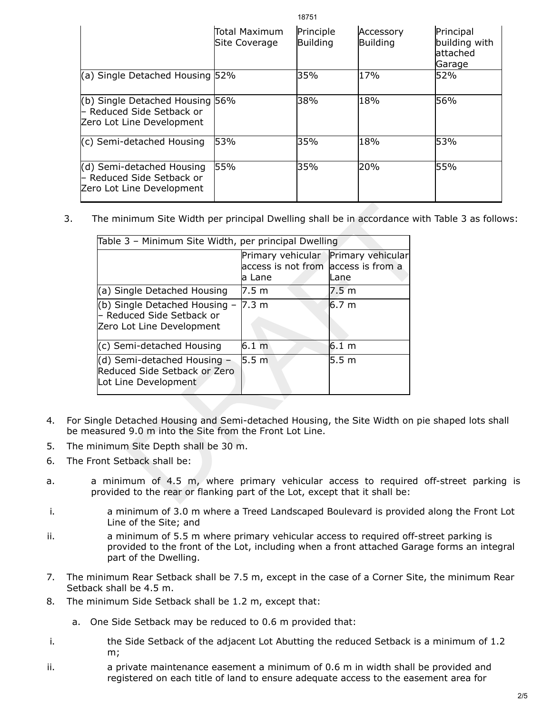|                                                                                           |                                 | 107JT                 |                              |                                                   |
|-------------------------------------------------------------------------------------------|---------------------------------|-----------------------|------------------------------|---------------------------------------------------|
|                                                                                           | lTotal Maximum<br>Site Coverage | Principle<br>Building | Accessory<br><b>Building</b> | Principal<br>building with<br>lattached<br>Garage |
| (a) Single Detached Housing 52%                                                           |                                 | 35%                   | 17%                          | 52%                                               |
| (b) Single Detached Housing 56%<br>- Reduced Side Setback or<br>Zero Lot Line Development |                                 | 38%                   | 18%                          | 56%                                               |
| (c) Semi-detached Housing                                                                 | 53%                             | 35%                   | 18%                          | 53%                                               |
| (d) Semi-detached Housing<br>l– Reduced Side Setback or<br>Zero Lot Line Development      | 55%                             | 35%                   | 20%                          | <b>55%</b>                                        |

18751

3. The minimum Site Width per principal Dwelling shall be in accordance with Table 3 as follows:

|                                                                                                                               | Table 3 - Minimum Site Width, per principal Dwelling                                 |                  |
|-------------------------------------------------------------------------------------------------------------------------------|--------------------------------------------------------------------------------------|------------------|
|                                                                                                                               | Primary vehicular Primary vehicular<br>access is not from access is from a<br>a Lane | Lane             |
| (a) Single Detached Housing                                                                                                   | 7.5 m                                                                                | 7.5 m            |
| (b) Single Detached Housing -<br>- Reduced Side Setback or<br>Zero Lot Line Development                                       | 7.3 m                                                                                | 6.7 <sub>m</sub> |
| (c) Semi-detached Housing                                                                                                     | $6.1 \text{ m}$                                                                      | $6.1 \text{ m}$  |
| (d) Semi-detached Housing -<br>Reduced Side Setback or Zero<br>Lot Line Development                                           | 5.5 <sub>m</sub>                                                                     | 5.5 <sub>m</sub> |
|                                                                                                                               |                                                                                      |                  |
| ngle Detached Housing and Semi-detached Housing, the Site Width on pie<br>asured 9.0 m into the Site from the Front Lot Line. |                                                                                      |                  |
|                                                                                                                               |                                                                                      |                  |
| inimum Site Depth shall be 30 m.                                                                                              |                                                                                      |                  |

- 4. For Single Detached Housing and Semi-detached Housing, the Site Width on pie shaped lots shall be measured 9.0 m into the Site from the Front Lot Line.
- 5. The minimum Site Depth shall be 30 m.
- 6. The Front Setback shall be:
- a. a minimum of 4.5 m, where primary vehicular access to required off-street parking is provided to the rear or flanking part of the Lot, except that it shall be:
- i. a minimum of 3.0 m where a Treed Landscaped Boulevard is provided along the Front Lot Line of the Site; and
- ii. a minimum of 5.5 m where primary vehicular access to required off-street parking is provided to the front of the Lot, including when a front attached Garage forms an integral part of the Dwelling.
- 7. The minimum Rear Setback shall be 7.5 m, except in the case of a Corner Site, the minimum Rear Setback shall be 4.5 m.
- 8. The minimum Side Setback shall be 1.2 m, except that:
	- a. One Side Setback may be reduced to 0.6 m provided that:
- i. the Side Setback of the adjacent Lot Abutting the reduced Setback is a minimum of 1.2 m;
- ii. a private maintenance easement a minimum of 0.6 m in width shall be provided and registered on each title of land to ensure adequate access to the easement area for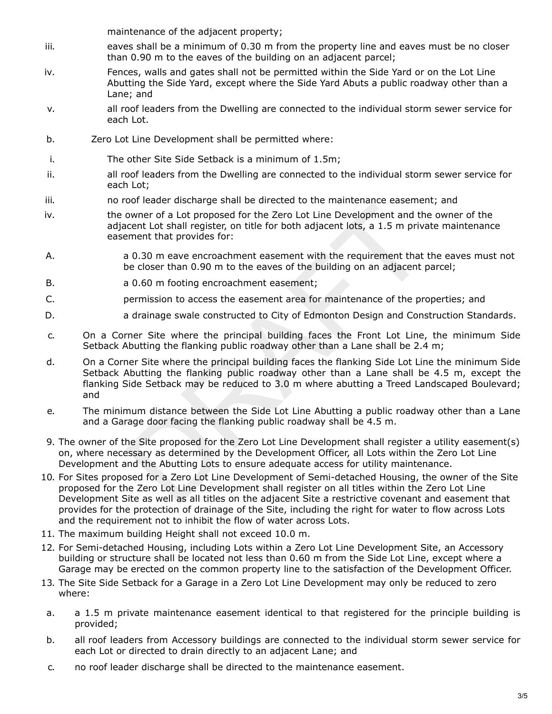maintenance of the adjacent property;

- iii. eaves shall be a minimum of 0.30 m from the property line and eaves must be no closer than 0.90 m to the eaves of the building on an adjacent parcel;
- iv. Fences, walls and gates shall not be permitted within the Side Yard or on the Lot Line Abutting the Side Yard, except where the Side Yard Abuts a public roadway other than a Lane; and
- v. all roof leaders from the Dwelling are connected to the individual storm sewer service for each Lot.
- b. Zero Lot Line Development shall be permitted where:
- i. The other Site Side Setback is a minimum of 1.5m;
- ii. all roof leaders from the Dwelling are connected to the individual storm sewer service for each Lot;
- iii. no roof leader discharge shall be directed to the maintenance easement; and
- iv. the owner of a Lot proposed for the Zero Lot Line Development and the owner of the adjacent Lot shall register, on title for both adjacent lots, a 1.5 m private maintenance easement that provides for:
- A. a 0.30 m eave encroachment easement with the requirement that the eaves must not be closer than 0.90 m to the eaves of the building on an adjacent parcel;
- B. a 0.60 m footing encroachment easement;
- C. permission to access the easement area for maintenance of the properties; and
- D. a drainage swale constructed to City of Edmonton Design and Construction Standards.
- c. On a Corner Site where the principal building faces the Front Lot Line, the minimum Side Setback Abutting the flanking public roadway other than a Lane shall be 2.4 m;
- d. On a Corner Site where the principal building faces the flanking Side Lot Line the minimum Side Setback Abutting the flanking public roadway other than a Lane shall be 4.5 m, except the flanking Side Setback may be reduced to 3.0 m where abutting a Treed Landscaped Boulevard; and bookies are also thanking of the Zero Lot Line Development and the content Lot shall register, on title for both adjacent lots, a 1.5 m privarment that provides for:<br>
a 0.30 m eave encroachment easement with the requiremen
- e. The minimum distance between the Side Lot Line Abutting a public roadway other than a Lane and a Garage door facing the flanking public roadway shall be 4.5 m.
- 9. The owner of the Site proposed for the Zero Lot Line Development shall register a utility easement(s) on, where necessary as determined by the Development Officer, all Lots within the Zero Lot Line Development and the Abutting Lots to ensure adequate access for utility maintenance.
- 10. For Sites proposed for a Zero Lot Line Development of Semi-detached Housing, the owner of the Site proposed for the Zero Lot Line Development shall register on all titles within the Zero Lot Line Development Site as well as all titles on the adjacent Site a restrictive covenant and easement that provides for the protection of drainage of the Site, including the right for water to flow across Lots and the requirement not to inhibit the flow of water across Lots.
- 11. The maximum building Height shall not exceed 10.0 m.
- 12. For Semi-detached Housing, including Lots within a Zero Lot Line Development Site, an Accessory building or structure shall be located not less than 0.60 m from the Side Lot Line, except where a Garage may be erected on the common property line to the satisfaction of the Development Officer.
- 13. The Site Side Setback for a Garage in a Zero Lot Line Development may only be reduced to zero where:
- a. a 1.5 m private maintenance easement identical to that registered for the principle building is provided;
- b. all roof leaders from Accessory buildings are connected to the individual storm sewer service for each Lot or directed to drain directly to an adjacent Lane; and
- c. no roof leader discharge shall be directed to the maintenance easement.